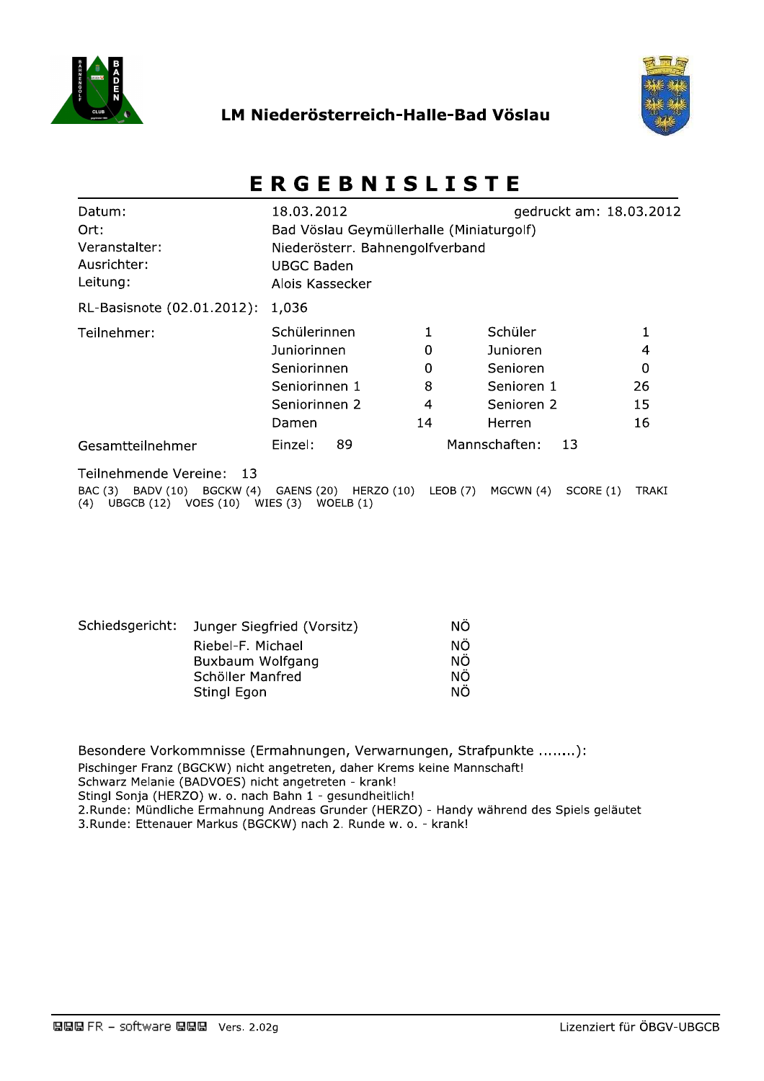

## LM Niederösterreich-Halle-Bad Vöslau



# **ERGEBNISLISTE**

| Datum:<br>Ort:<br>Veranstalter:<br>Ausrichter:<br>Leitung:                                     | 18.03.2012<br>Bad Vöslau Geymüllerhalle (Miniaturgolf)<br>Niederösterr. Bahnengolfverband<br><b>UBGC Baden</b><br>Alois Kassecker |          |               |           | gedruckt am: 18.03.2012 |
|------------------------------------------------------------------------------------------------|-----------------------------------------------------------------------------------------------------------------------------------|----------|---------------|-----------|-------------------------|
| RL-Basisnote (02.01.2012):                                                                     | 1,036                                                                                                                             |          |               |           |                         |
| Teilnehmer:                                                                                    | Schülerinnen                                                                                                                      |          | Schüler       |           | 1                       |
|                                                                                                | Juniorinnen                                                                                                                       | 0        | Junioren      |           | 4                       |
|                                                                                                | Seniorinnen                                                                                                                       | $\Omega$ | Senioren      |           | 0                       |
|                                                                                                | Seniorinnen 1                                                                                                                     | 8        | Senioren 1    |           | 26                      |
|                                                                                                | Seniorinnen 2                                                                                                                     | 4        | Senioren 2    |           | 15                      |
|                                                                                                | Damen                                                                                                                             | 14       | Herren        |           | 16                      |
| Gesamtteilnehmer                                                                               | 89<br>Einzel:                                                                                                                     |          | Mannschaften: | 13        |                         |
| Teilnehmende Vereine:<br>- 13<br>BAC (3) BADV (10)<br>BGCKW (4)<br>UBGCB (12) VOES (10)<br>(4) | HERZO (10)<br>GAENS (20)<br>WIES (3)<br>WOELB $(1)$                                                                               | LEOB (7) | MGCWN (4)     | SCORE (1) | <b>TRAKI</b>            |

| Schiedsgericht: | Junger Siegfried (Vorsitz) | NΟ |
|-----------------|----------------------------|----|
|                 | Riebel-F. Michael          | ΝÖ |
|                 | Buxbaum Wolfgang           | ΝÖ |
|                 | Schöller Manfred           | ΝÖ |
|                 | Stingl Egon                | ΝÖ |

Besondere Vorkommnisse (Ermahnungen, Verwarnungen, Strafpunkte ........): Pischinger Franz (BGCKW) nicht angetreten, daher Krems keine Mannschaft! Schwarz Melanie (BADVOES) nicht angetreten - krank! Stingl Sonja (HERZO) w. o. nach Bahn 1 - gesundheitlich! 2.Runde: Mündliche Ermahnung Andreas Grunder (HERZO) - Handy während des Spiels geläutet 3.Runde: Ettenauer Markus (BGCKW) nach 2. Runde w. o. - krank!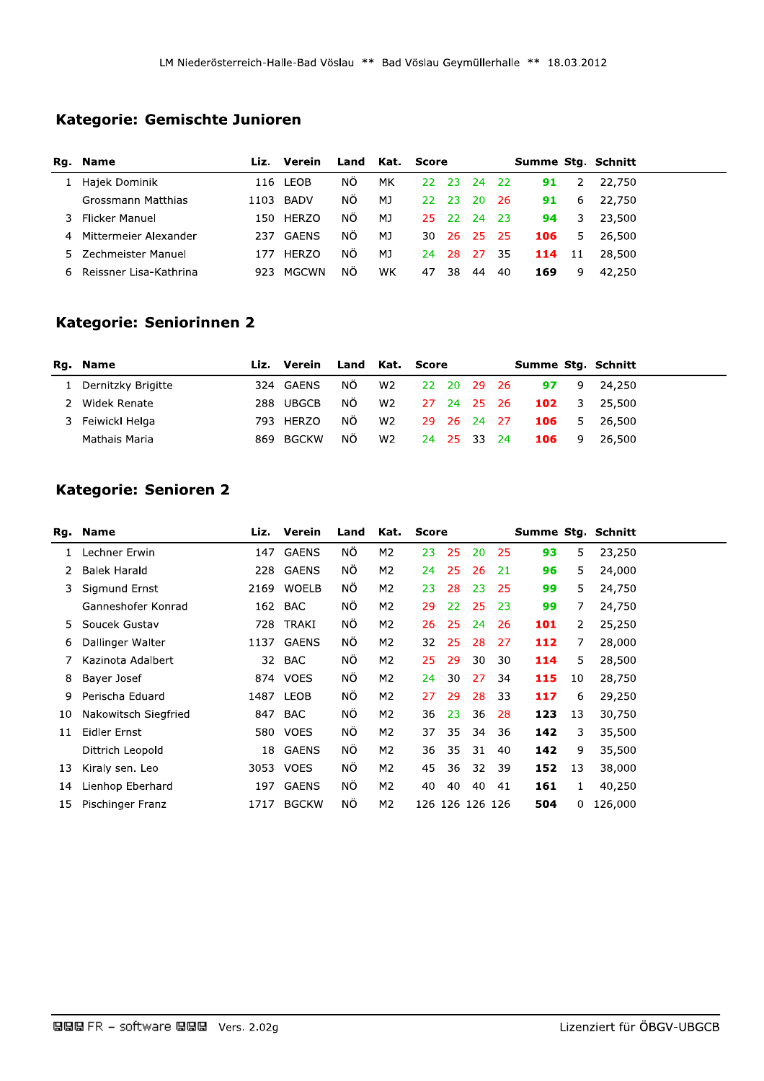## Kategorie: Gemischte Junioren

|    | Rg. Name               | Liz. | Verein       | Land | Kat. Score |           |       |        |      | Summe Stg. Schnitt |    |        |  |
|----|------------------------|------|--------------|------|------------|-----------|-------|--------|------|--------------------|----|--------|--|
|    | Hajek Dominik          | 116  | LEOB         | ΝÖ   | мĸ         | <b>22</b> | - 23  | - 24   | - 22 | 91                 | 2  | 22,750 |  |
|    | Grossmann Matthias     | 1103 | BADV         | ΝÖ   | MJ         | 22.       | -23.  | -20    | -26  | 91                 | 6  | 22,750 |  |
|    | Flicker Manuel         | 150. | <b>HERZO</b> | ΝÔ   | MJ         | 25.       | - 22. | - 24   | - 23 | 94                 | 3  | 23,500 |  |
|    | Mittermeier Alexander  | 237  | <b>GAFNS</b> | ΝÔ   | MJ         | 30.       | -26-  | - 25 - | - 25 | 106                | 5. | 26.500 |  |
| 5. | Zechmeister Manuel     | 177  | <b>HERZO</b> | NO.  | MJ         | 24.       | -28   | - 27   | -35  | 114 11             |    | 28,500 |  |
| 6. | Reissner Lisa-Kathrina | 923  | <b>MGCWN</b> | ΝÖ   | WK         | 47        | 38    | 44     | 40   | 169                | 9  | 42,250 |  |

## Kategorie: Seniorinnen 2

| Rg. Name           |     | Liz. Verein | Land Kat. Score |                |             |             | Summe Stg. Schnitt |     |        |
|--------------------|-----|-------------|-----------------|----------------|-------------|-------------|--------------------|-----|--------|
| Dernitzky Brigitte |     | 324 GAENS   | NÖ.             | W2             | 22 20 29 26 |             | 97                 | 9   | 24,250 |
| Widek Renate       |     | 288 UBGCB   | NÖ.             | W2             | 27 24 25 26 |             | $102 \t3$          |     | 25,500 |
| 3 Feiwickl Helga   |     | 793 HERZO   | NO.             | W2             |             | 29 26 24 27 | <b>106</b> 5       |     | 26.500 |
| Mathais Maria      | 869 | BGCKW       | NÕ.             | W <sub>2</sub> | 24 25 33 24 |             | 106                | - 9 | 26.500 |

# Kategorie: Senioren 2

|    | Rg. Name             |      | Liz. Verein  | Land | Kat.           | Score           |    |    |    |     |    | Summe Stg. Schnitt |
|----|----------------------|------|--------------|------|----------------|-----------------|----|----|----|-----|----|--------------------|
| 1  | Lechner Erwin        |      | 147 GAENS    | ΝÖ   | M2             | 23              | 25 | 20 | 25 | 93  | 5  | 23,250             |
| 2  | <b>Balek Harald</b>  |      | 228 GAENS    | NO.  | M2             | 24              | 25 | 26 | 21 | 96  | 5  | 24,000             |
| 3. | Sigmund Ernst        | 2169 | <b>WOELB</b> | ΝO   | M2             | 23              | 28 | 23 | 25 | 99  | 5  | 24,750             |
|    | Ganneshofer Konrad   |      | 162 BAC      | ΝÖ   | M2             | 29              | 22 | 25 | 23 | 99  | 7  | 24,750             |
| 5. | Soucek Gustav        | 728  | TRAKI        | NO.  | M2             | 26              | 25 | 24 | 26 | 101 | 2  | 25,250             |
| 6  | Dallinger Walter     |      | 1137 GAENS   | ΝÖ   | M2             | 32              | 25 | 28 | 27 | 112 | 7  | 28,000             |
| 7  | Kazinota Adalbert    | 32   | BAC          | NO.  | M2             | 25              | 29 | 30 | 30 | 114 | 5  | 28,500             |
| 8  | Bayer Josef          |      | 874 VOES     | NO.  | M2             | 24              | 30 | 27 | 34 | 115 | 10 | 28,750             |
| 9  | Perischa Eduard      |      | 1487 LEOB    | ΝÖ   | M2             | 27              | 29 | 28 | 33 | 117 | 6  | 29,250             |
| 10 | Nakowitsch Siegfried | 847  | BAC          | ΝÖ   | M2             | 36              | 23 | 36 | 28 | 123 | 13 | 30,750             |
| 11 | Eidler Ernst         |      | 580 VOES     | NO.  | M2             | 37              | 35 | 34 | 36 | 142 | 3  | 35,500             |
|    | Dittrich Leopold     |      | 18 GAENS     | NO.  | M2             | 36              | 35 | 31 | 40 | 142 | 9  | 35,500             |
| 13 | Kiraly sen. Leo      |      | 3053 VOES    | NO.  | M <sub>2</sub> | 45              | 36 | 32 | 39 | 152 | 13 | 38,000             |
| 14 | Lienhop Eberhard     |      | 197 GAENS    | NÓ   | M2             | 40              | 40 | 40 | 41 | 161 | 1  | 40,250             |
| 15 | Pischinger Franz     | 1717 | <b>BGCKW</b> | ΝÔ   | M2             | 126 126 126 126 |    |    |    | 504 | 0  | 126,000            |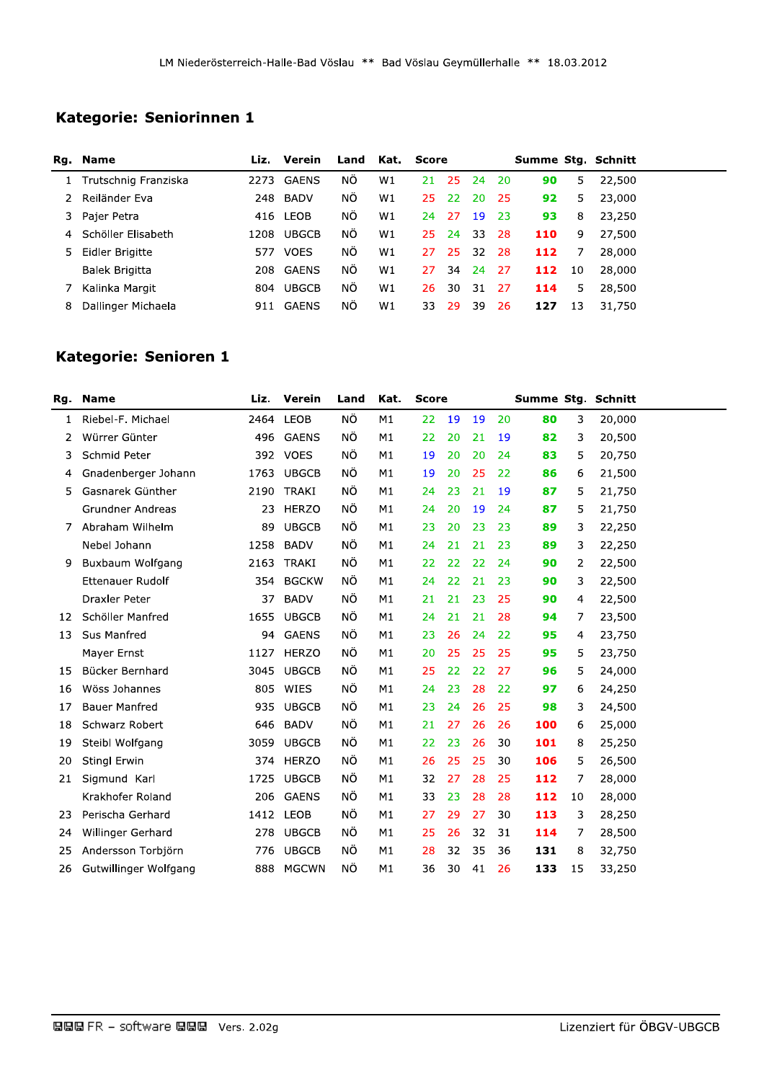|              |                                  | LM Niederösterreich-Halle-Bad Vöslau ** Bad Vöslau Geymüllerhalle ** 18.03.2012 |              |      |      |              |    |    |    |     |    |                              |
|--------------|----------------------------------|---------------------------------------------------------------------------------|--------------|------|------|--------------|----|----|----|-----|----|------------------------------|
|              |                                  |                                                                                 |              |      |      |              |    |    |    |     |    |                              |
|              | Kategorie: Seniorinnen 1         |                                                                                 |              |      |      |              |    |    |    |     |    |                              |
|              |                                  |                                                                                 |              |      |      |              |    |    |    |     |    |                              |
|              |                                  |                                                                                 |              |      |      |              |    |    |    |     |    |                              |
|              |                                  |                                                                                 | Liz. Verein  | Land | Kat. | <b>Score</b> |    |    |    |     |    |                              |
| $\mathbf{1}$ | Rg. Name<br>Trutschnig Franziska | 2273                                                                            | GAENS        | ΝÖ   | W1   | 21           | 25 | 24 | 20 | 90  | 5  | Summe Stg. Schnitt<br>22,500 |
| 2            | Reiländer Eva                    |                                                                                 | 248 BADV     | ΝÖ   | W1   | 25           | 22 | 20 | 25 | 92  | 5  | 23,000                       |
| 3.           | Pajer Petra                      | 416                                                                             | LEOB         | ΝÖ   | W1   | 24           | 27 | 19 | 23 | 93  | 8  | 23,250                       |
| 4            | Schöller Elisabeth               | 1208                                                                            | <b>UBGCB</b> | ΝÖ   | W1   | 25           | 24 | 33 | 28 | 110 | 9  | 27,500                       |
| 5            | Eidler Brigitte                  | 577                                                                             | <b>VOES</b>  | ΝÖ   | W1   | 27           | 25 | 32 | 28 | 112 | 7  | 28,000                       |
|              | Balek Brigitta                   | 208                                                                             | <b>GAENS</b> | NÖ.  | W1   | 27           | 34 | 24 | 27 | 112 | 10 | 28,000                       |
| 7            | Kalinka Margit                   | 804                                                                             | <b>UBGCB</b> | ΝÖ   | W1   | 26           | 30 | 31 | 27 | 114 | 5  | 28,500                       |

| 4   | Schöller Elisabeth      |      | 1208 UBGCB   | ΝÔ   | W1   | 25           | 24  | 33 | 28 | 110 | 9  | 27,500             |
|-----|-------------------------|------|--------------|------|------|--------------|-----|----|----|-----|----|--------------------|
| 5   | Eidler Brigitte         |      | 577 VOES     | ΝÖ   | W1   | 27           | 25  | 32 | 28 | 112 | 7  | 28,000             |
|     | Balek Brigitta          | 208  | GAENS        | ΝÖ.  | W1   | 27           | 34  | 24 | 27 | 112 | 10 | 28,000             |
| 7   | Kalinka Margit          |      | 804 UBGCB    | ΝÔ   | W1   | 26           | 30  | 31 | 27 | 114 | 5  | 28,500             |
| 8   | Dallinger Michaela      |      | 911 GAENS    | ΝÖ   | W1   | 33           | 29  | 39 | 26 | 127 | 13 | 31,750             |
|     |                         |      |              |      |      |              |     |    |    |     |    |                    |
|     | Kategorie: Senioren 1   |      |              |      |      |              |     |    |    |     |    |                    |
|     |                         |      |              |      |      |              |     |    |    |     |    |                    |
| Rg. | <b>Name</b>             | Liz. | Verein       | Land | Kat. | <b>Score</b> |     |    |    |     |    | Summe Stg. Schnitt |
| 1   | Riebel-F. Michael       | 2464 | LEOB         | NÖ   | M1   | 22           | 19  | 19 | 20 | 80  | 3  | 20,000             |
| 2   | Würrer Günter           |      | 496 GAENS    | ΝÖ   | M1   | 22           | 20  | 21 | 19 | 82  | 3  | 20,500             |
| 3   | Schmid Peter            |      | 392 VOES     | NÖ   | M1   | 19           | 20  | 20 | 24 | 83  | 5  | 20,750             |
| 4   | Gnadenberger Johann     | 1763 | <b>UBGCB</b> | ΝÖ   | M1   | 19           | 20  | 25 | 22 | 86  | 6  | 21,500             |
| 5   | Gasnarek Günther        |      | 2190 TRAKI   | ΝÖ   | M1   | 24           | 23  | 21 | 19 | 87  | 5  | 21,750             |
|     | Grundner Andreas        | 23   | <b>HERZO</b> | ΝÖ   | M1   | 24           | 20  | 19 | 24 | 87  | 5  | 21,750             |
| 7   | Abraham Wilhelm         | 89   | <b>UBGCB</b> | ΝÖ.  | М1   | 23           | 20  | 23 | 23 | 89  | 3  | 22,250             |
|     | Nebel Johann            | 1258 | <b>BADV</b>  | ΝÖ   | M1   | 24           | 21  | 21 | 23 | 89  | 3  | 22,250             |
| 9   | Buxbaum Wolfgang        |      | 2163 TRAKI   | ΝÖ   | M1   | 22           | 22  | 22 | 24 | 90  | 2  | 22,500             |
|     | <b>Ettenauer Rudolf</b> | 354  | <b>BGCKW</b> | ΝÖ.  | M1   | 24           | 22  | 21 | 23 | 90  | 3  | 22,500             |
|     | Draxler Peter           | 37   | <b>BADV</b>  | NÖ   | M1   | 21           | 21  | 23 | 25 | 90  | 4  | 22,500             |
| 12  | Schöller Manfred        | 1655 | <b>UBGCB</b> | ΝÖ   | M1   | 24           | 21  | 21 | 28 | 94  | 7  | 23,500             |
| 13  | <b>Sus Manfred</b>      | 94   | <b>GAENS</b> | ΝÖ.  | М1   | 23           | 26  | 24 | 22 | 95  | 4  | 23,750             |
|     | Mayer Ernst             |      | 1127 HERZO   | ΝÖ   | M1   | 20           | 25  | 25 | 25 | 95  | 5  | 23,750             |
| 15  | Bücker Bernhard         |      | 3045 UBGCB   | ΝÖ   | M1   | 25           | 22  | 22 | 27 | 96  | 5  | 24,000             |
| 16  | Wöss Johannes           |      | 805 WIES     | ΝÖ   | М1   | 24           | 23  | 28 | 22 | 97  | 6  | 24,250             |
| 17  | <b>Bauer Manfred</b>    |      | 935 UBGCB    | ΝÖ   | M1   | 23           | 24  | 26 | 25 | 98  | 3  | 24,500             |
| 18  | Schwarz Robert          |      | 646 BADV     | ΝÖ   | M1   | 21           | 27  | 26 | 26 | 100 | 6  | 25,000             |
| 19  | Steibl Wolfgang         |      | 3059 UBGCB   | ΝÖ   | M1   | 22           | 23  | 26 | 30 | 101 | 8  | 25,250             |
| 20  | Stingl Erwin            |      | 374 HERZO    | ΝÔ   | M1   | 26           | 25  | 25 | 30 | 106 | 5  | 26,500             |
| 21  | Sigmund Karl            |      | 1725 UBGCB   | ΝÖ   | M1   | 32           | -27 | 28 | 25 | 112 | 7  | 28,000             |
|     | Krakhofer Roland        |      | 206 GAENS    | ΝÖ   | M1   | 33           | 23  | 28 | 28 | 112 | 10 | 28,000             |
| 23  | Perischa Gerhard        |      | 1412 LEOB    | ΝÖ   | M1   | 27           | 29  | 27 | 30 | 113 | 3  | 28,250             |
| 24  | Willinger Gerhard       |      | 278 UBGCB    | ΝÖ   | M1   | 25           | 26  | 32 | 31 | 114 | 7  | 28,500             |
| 25  | Andersson Torbjörn      | 776  | <b>UBGCB</b> | ΝÖ.  | М1   | 28           | 32  | 35 | 36 | 131 | 8  | 32,750             |
| 26  | Gutwillinger Wolfgang   |      | 888 MGCWN    | NÖ   | M1   | 36           | 30  | 41 | 26 | 133 | 15 | 33,250             |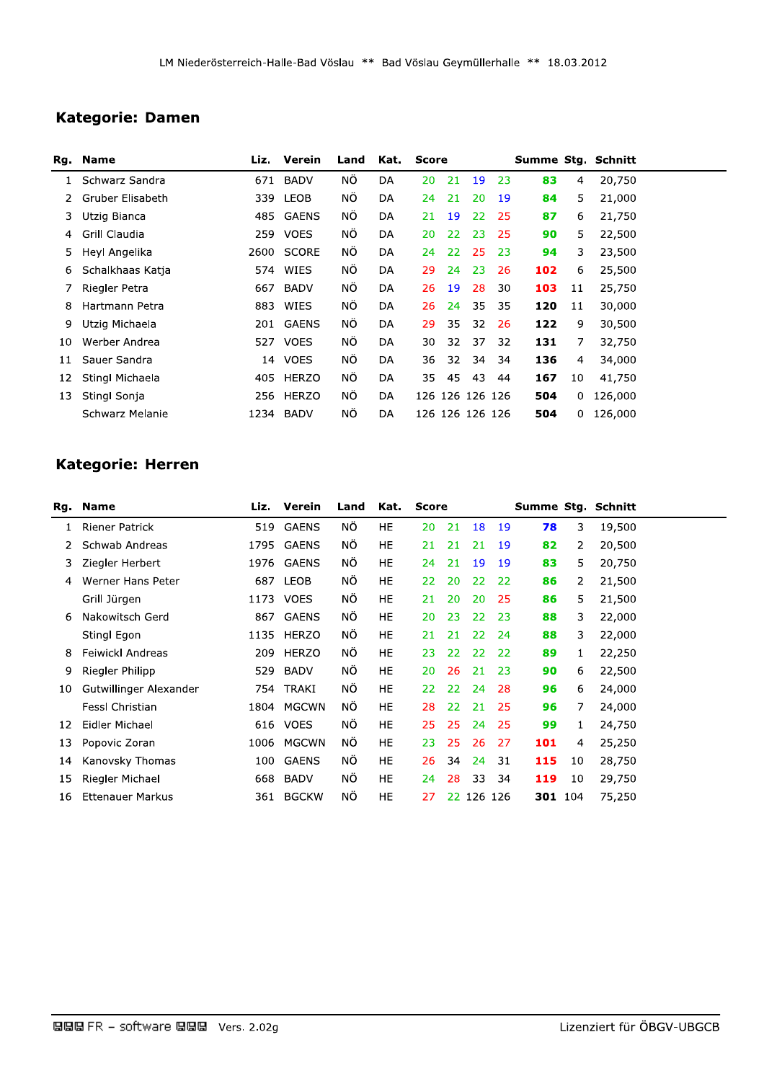## **Kategorie: Damen**

|    | Rg. Name         | Liz. | Verein      | Land | Kat.      | <b>Score</b>    |                 |     |     | Summe Stg. Schnitt |    |         |  |
|----|------------------|------|-------------|------|-----------|-----------------|-----------------|-----|-----|--------------------|----|---------|--|
| 1  | Schwarz Sandra   | 671  | <b>BADV</b> | ΝÖ   | <b>DA</b> | 20              | 21              | 19  | 23  | 83                 | 4  | 20,750  |  |
| 2. | Gruber Elisabeth | 339  | LEOB        | ΝÖ   | DA        | 24              | 21              | 20  | 19  | 84                 | 5. | 21,000  |  |
| 3  | Utzig Bianca     | 485  | GAENS       | ΝÖ   | DA        | 21              | 19              | 22  | 25  | 87                 | 6  | 21,750  |  |
| 4  | Grill Claudia    | 259  | <b>VOES</b> | ΝÖ   | DA        | 20              | 22              | 23  | 25  | 90                 | 5  | 22,500  |  |
| 5. | Heyl Angelika    |      | 2600 SCORE  | ΝÖ   | DA        | 24              | 22 <sub>1</sub> | -25 | -23 | 94                 | 3  | 23,500  |  |
| 6  | Schalkhaas Katja | 574  | WIES        | NÖ.  | DA        | 29              | 24              | 23  | 26  | 102                | 6  | 25,500  |  |
|    | Riegler Petra    | 667  | BADV        | ΝÖ   | DA        | 26              | 19              | 28  | 30  | 103                | 11 | 25,750  |  |
| 8  | Hartmann Petra   | 883  | WIES        | ΝÖ   | DA        | 26              | 24              | 35  | 35  | 120                | 11 | 30,000  |  |
| 9  | Utzig Michaela   |      | 201 GAENS   | ΝÖ   | DA        | 29              | 35              | 32  | 26  | 122                | 9  | 30,500  |  |
| 10 | Werber Andrea    | 527  | <b>VOES</b> | ΝÖ   | DA        | 30              | 32              | 37  | 32  | 131                | 7  | 32,750  |  |
| 11 | Sauer Sandra     | 14   | <b>VOES</b> | ΝÖ   | DA        | 36              | 32              | 34  | 34  | 136                | 4  | 34,000  |  |
| 12 | Stingl Michaela  | 405  | HERZO       | ΝÖ   | DA        | 35              | 45              | 43  | 44  | 167                | 10 | 41,750  |  |
| 13 | Stingl Sonja     | 256  | HERZO       | ΝÖ   | DA        | 126 126 126 126 |                 |     |     | 504                | 0  | 126,000 |  |
|    | Schwarz Melanie  | 1234 | BADV        | ΝÖ   | DA        | 126 126 126 126 |                 |     |     | 504                | 0  | 126,000 |  |

# Kategorie: Herren

|    | Rg. Name                |      | Liz. Verein  | Land | Kat.      | <b>Score</b> |    |            |     | Summe Stg. Schnitt |    |        |  |
|----|-------------------------|------|--------------|------|-----------|--------------|----|------------|-----|--------------------|----|--------|--|
| 1  | <b>Riener Patrick</b>   | 519  | GAENS        | NÖ.  | HE        | 20           | 21 | 18         | 19  | 78                 | 3  | 19,500 |  |
|    | Schwab Andreas          | 1795 | <b>GAENS</b> | ΝÔ   | HE        | 21           | 21 | 21         | 19  | 82                 | 2  | 20,500 |  |
| 3  | Ziegler Herbert         |      | 1976 GAENS   | ΝÖ   | HE        | 24           | 21 | 19         | 19  | 83                 | 5  | 20,750 |  |
| 4  | Werner Hans Peter       |      | 687 LEOB     | ΝÖ   | HE        | 22           | 20 | 22         | 22  | 86                 | 2  | 21,500 |  |
|    | Grill Jürgen            |      | 1173 VOES    | ΝÖ   | HE        | 21           | 20 | 20         | -25 | 86                 | 5. | 21,500 |  |
| 6  | Nakowitsch Gerd         | 867  | GAENS        | ΝÖ   | <b>HE</b> | 20           | 23 | 22         | 23  | 88                 | 3  | 22,000 |  |
|    | Stingl Egon             | 1135 | HERZO        | NÖ.  | HE        | 21           | 21 | 22         | 24  | 88                 | 3  | 22,000 |  |
| 8  | Feiwickl Andreas        | 209  | <b>HERZO</b> | ΝÔ   | <b>HE</b> | 23           | 22 | 22         | 22  | 89                 | 1  | 22,250 |  |
| 9  | Riegler Philipp         | 529  | BADV         | ΝÖ   | HE        | 20           | 26 | 21         | 23  | 90                 | 6  | 22,500 |  |
| 10 | Gutwillinger Alexander  |      | 754 TRAKI    | NÖ.  | HE        | 22           | 22 | 24         | 28  | 96                 | 6  | 24,000 |  |
|    | Fessl Christian         | 1804 | MGCWN        | ΝÔ   | HE        | 28           | 22 | 21         | 25  | 96                 | 7  | 24,000 |  |
| 12 | Eidler Michael          | 616  | <b>VOES</b>  | ΝÖ   | HE        | 25           | 25 | 24         | 25  | 99                 | 1  | 24,750 |  |
| 13 | Popovic Zoran           | 1006 | <b>MGCWN</b> | ΝÖ   | HE        | 23           | 25 | 26         | 27  | 101                | 4  | 25,250 |  |
| 14 | Kanovsky Thomas         | 100  | GAENS        | ΝÔ   | HE        | 26           | 34 | 24         | 31  | 115                | 10 | 28,750 |  |
| 15 | Riegler Michael         | 668  | BADV         | ΝÖ   | HE        | 24           | 28 | 33         | 34  | 119                | 10 | 29,750 |  |
| 16 | <b>Ettenauer Markus</b> | 361  | <b>BGCKW</b> | ΝÖ   | HE        | 27           |    | 22 126 126 |     | 301 104            |    | 75,250 |  |
|    |                         |      |              |      |           |              |    |            |     |                    |    |        |  |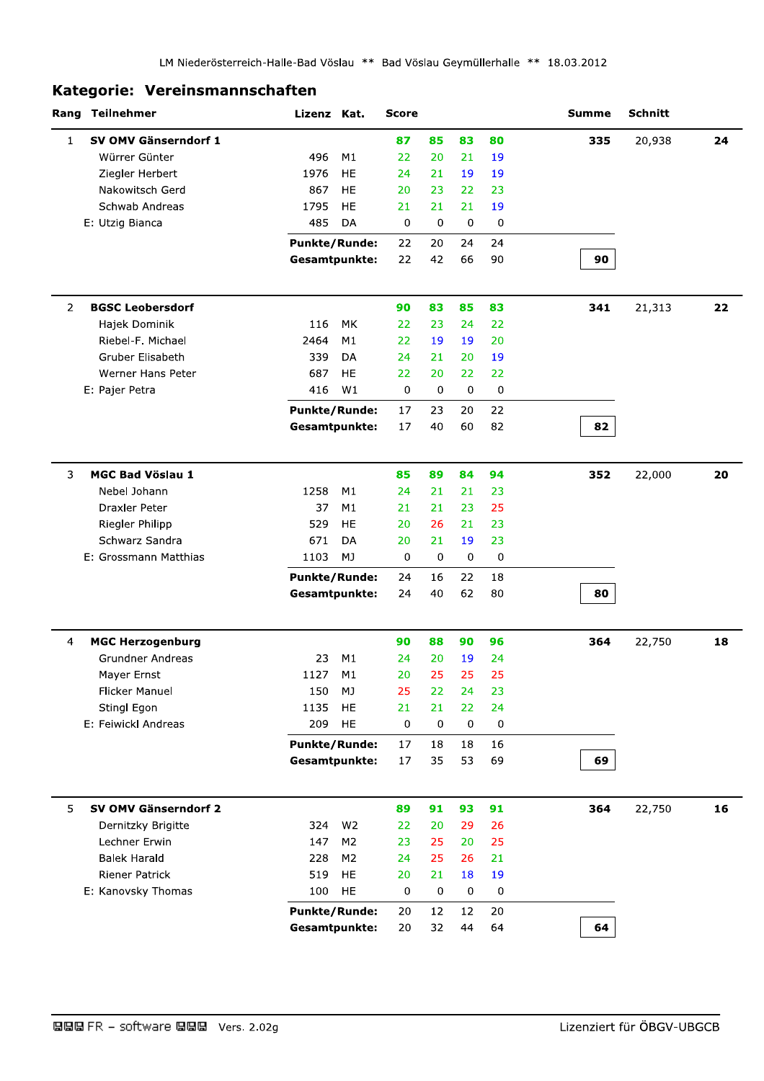### Kategorie: Vereinsmannschaften

|                | Rang Teilnehmer                      | Lizenz Kat.          |                | <b>Score</b>      |                 |             |           | <b>Summe</b> | Schnitt |    |
|----------------|--------------------------------------|----------------------|----------------|-------------------|-----------------|-------------|-----------|--------------|---------|----|
| $\mathbf{1}$   | SV OMV Gänserndorf 1                 |                      |                | 87                | 85              | 83          | 80        | 335          | 20,938  | 24 |
|                | Würrer Günter                        | 496                  | M1             | 22                | 20              | 21          | 19        |              |         |    |
|                | Ziegler Herbert                      | 1976                 | HE             | 24                | 21              | 19          | 19        |              |         |    |
|                | Nakowitsch Gerd                      | 867                  | <b>HE</b>      | 20                | 23              | 22          | 23        |              |         |    |
|                | Schwab Andreas                       | 1795                 | HE             | 21                | 21              | 21          | 19        |              |         |    |
|                | E: Utzig Bianca                      | 485                  | DA             | 0                 | 0               | 0           | 0         |              |         |    |
|                |                                      | <b>Punkte/Runde:</b> |                | 22                | 20              | 24          | 24        |              |         |    |
|                |                                      | Gesamtpunkte:        |                | 22                | 42              | 66          | 90        | 90           |         |    |
| $\overline{2}$ | <b>BGSC Leobersdorf</b>              |                      |                | 90                | 83              | 85          | 83        | 341          | 21,313  | 22 |
|                | Hajek Dominik                        | 116                  | MK             | 22                | 23              | 24          | 22        |              |         |    |
|                | Riebel-F. Michael                    | 2464                 | M1             | 22                | 19              | 19          | 20        |              |         |    |
|                | <b>Gruber Elisabeth</b>              | 339                  | DA             | 24                | 21              | 20          | 19        |              |         |    |
|                | Werner Hans Peter                    | 687                  | HE             | 22                | 20              | 22.         | 22        |              |         |    |
|                | E: Pajer Petra                       | 416                  | W1             | $\mathbf 0$       | 0               | 0           | 0         |              |         |    |
|                |                                      | <b>Punkte/Runde:</b> |                | 17                | 23              | 20          | 22        |              |         |    |
|                |                                      | Gesamtpunkte:        |                | 17                | 40              | 60          | 82        | 82           |         |    |
|                |                                      |                      |                |                   |                 |             |           |              |         |    |
| 3              | <b>MGC Bad Vöslau 1</b>              |                      |                | 85                | 89              | 84          | 94        | 352          | 22,000  | 20 |
|                | Nebel Johann                         | 1258                 | M1             | 24                | 21              | 21          | 23        |              |         |    |
|                | Draxler Peter                        | 37                   | M1             | 21                | 21              | 23          | 25        |              |         |    |
|                | Riegler Philipp                      | 529                  | <b>HE</b>      | 20                | 26              | 21          | 23        |              |         |    |
|                | Schwarz Sandra                       | 671                  | DA             | 20                | 21              | 19          | 23        |              |         |    |
|                | E: Grossmann Matthias                | 1103                 | MJ             | $\mathbf 0$       | 0               | 0           | 0         |              |         |    |
|                |                                      | <b>Punkte/Runde:</b> |                | 24                | 16              | 22          | 18        |              |         |    |
|                |                                      | Gesamtpunkte:        |                | 24                | 40              | 62          | 80        | 80           |         |    |
| 4              | <b>MGC Herzogenburg</b>              |                      |                | 90                | 88              | 90          | 96        | 364          | 22,750  | 18 |
|                | <b>Grundner Andreas</b>              | 23                   | M1             | 24                | 20              | 19          | 24        |              |         |    |
|                | Mayer Ernst                          | 1127                 | M1             | 20                | 25              | 25          | 25        |              |         |    |
|                | Flicker Manuel                       | 150                  | MJ             | 25                | 22              | 24          | 23        |              |         |    |
|                | Stingl Egon                          | 1135                 | HE             | 21                | 21              | 22          | 24        |              |         |    |
|                | E: Feiwickl Andreas                  | 209                  | HE             | 0                 | 0               | $\mathbf 0$ | $\pmb{0}$ |              |         |    |
|                |                                      | <b>Punkte/Runde:</b> |                | 17                | 18              | 18          | 16        |              |         |    |
|                |                                      | Gesamtpunkte:        |                | 17                | 35              | 53          | 69        | 69           |         |    |
|                |                                      |                      |                |                   |                 |             |           |              |         |    |
| 5              | SV OMV Gänserndorf 2                 |                      |                | 89                | 91              | 93          | 91        | 364          | 22,750  | 16 |
|                | Dernitzky Brigitte<br>Lechner Erwin  | 324                  | W <sub>2</sub> | 22                | 20              | 29          | 26        |              |         |    |
|                |                                      | 147                  | M <sub>2</sub> | 23                | 25              | 20          | 25        |              |         |    |
|                | <b>Balek Harald</b>                  | 228                  | M <sub>2</sub> | 24                | 25              | 26          | 21        |              |         |    |
|                | Riener Patrick<br>E: Kanovsky Thomas | 519<br>100           | HE.<br>HE      | 20<br>$\mathbf 0$ | 21<br>$\pmb{0}$ | 18<br>0     | 19        |              |         |    |
|                |                                      |                      |                |                   |                 |             | 0         |              |         |    |
|                |                                      | <b>Punkte/Runde:</b> |                | 20                | 12              | 12          | 20        |              |         |    |
|                |                                      | Gesamtpunkte:        |                | 20                | 32              | 44          | 64        | 64           |         |    |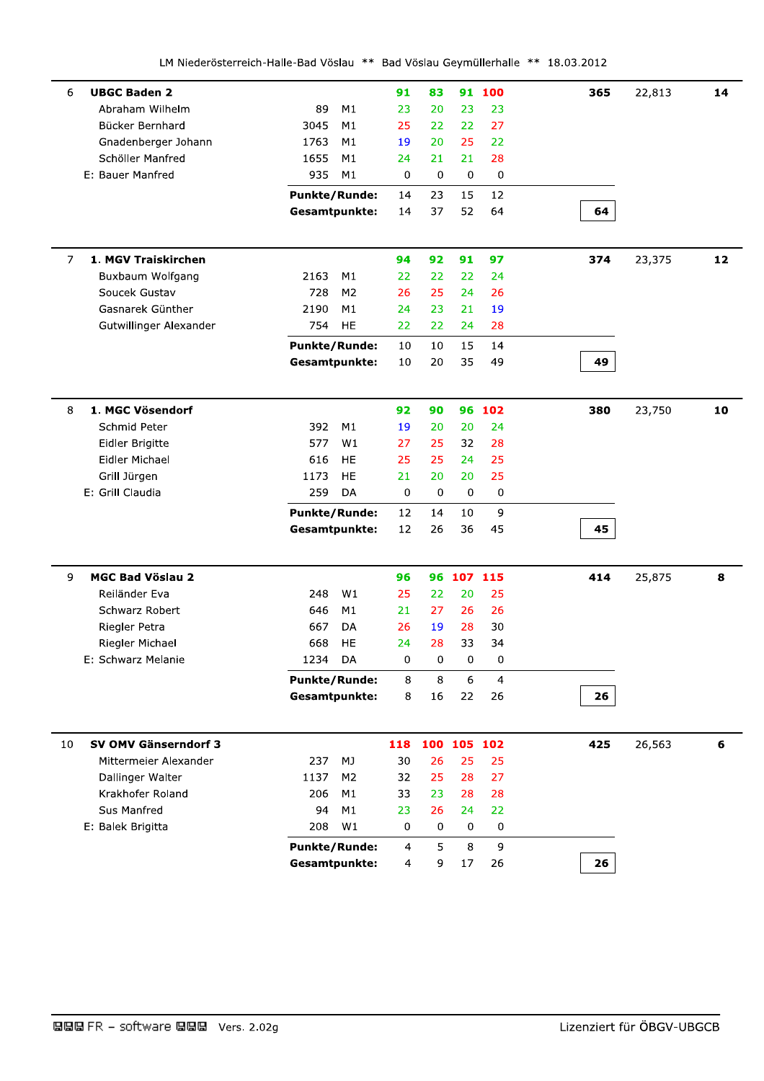| <b>UBGC Baden 2</b><br>6              |                        | 91  | 83          |             | 91 100         | 365 | 22,813 | 14 |
|---------------------------------------|------------------------|-----|-------------|-------------|----------------|-----|--------|----|
| Abraham Wilhelm                       | 89<br>M1               | 23  | 20          | 23          | 23             |     |        |    |
| Bücker Bernhard                       | 3045<br>M1             | 25  | 22          | 22          | 27             |     |        |    |
| Gnadenberger Johann                   | 1763<br>M1             | 19  | 20          | 25          | 22             |     |        |    |
| Schöller Manfred                      | 1655<br>M1             | 24  | 21          | 21          | 28             |     |        |    |
| E: Bauer Manfred                      | 935<br>M1              | 0   | $\mathbf 0$ | 0           | 0              |     |        |    |
|                                       | <b>Punkte/Runde:</b>   | 14  | 23          | 15          | 12             |     |        |    |
|                                       | <b>Gesamtpunkte:</b>   | 14  | 37          | 52          | 64             | 64  |        |    |
| 1. MGV Traiskirchen<br>$\overline{7}$ |                        | 94  | 92          | 91          | 97             | 374 | 23,375 | 12 |
| Buxbaum Wolfgang                      | 2163<br>M1             | 22  | 22          | 22          | 24             |     |        |    |
| Soucek Gustav                         | 728<br>M <sub>2</sub>  | 26  | 25          | 24          | 26             |     |        |    |
| Gasnarek Günther                      | 2190<br>M1             | 24  | 23          | 21          | 19             |     |        |    |
| Gutwillinger Alexander                | 754<br>HE              | 22  | 22          | 24          | 28             |     |        |    |
|                                       | <b>Punkte/Runde:</b>   | 10  | 10          | 15          | 14             |     |        |    |
|                                       | Gesamtpunkte:          | 10  | 20          | 35          | 49             | 49  |        |    |
|                                       |                        |     |             |             |                |     |        |    |
| 8<br>1. MGC Vösendorf                 |                        | 92  | 90          |             | 96 102         | 380 | 23,750 | 10 |
| Schmid Peter                          | 392<br>M1              | 19  | 20          | 20          | 24             |     |        |    |
| Eidler Brigitte                       | 577<br>W1              | 27  | 25          | 32          | 28             |     |        |    |
| Eidler Michael                        | 616<br><b>HE</b>       | 25  | 25          | 24          | 25             |     |        |    |
| Grill Jürgen                          | <b>HE</b><br>1173      | 21  | 20          | 20          | 25             |     |        |    |
| E: Grill Claudia                      | 259<br>DA              | 0   | 0           | 0           | 0              |     |        |    |
|                                       | <b>Punkte/Runde:</b>   | 12  | 14          | 10          | 9              |     |        |    |
|                                       | <b>Gesamtpunkte:</b>   | 12  | 26          | 36          | 45             | 45  |        |    |
| <b>MGC Bad Vöslau 2</b><br>9          |                        | 96  |             | 96 107 115  |                | 414 | 25,875 | 8  |
| Reiländer Eva                         | 248<br>W1              | 25  | 22          | 20          | 25             |     |        |    |
| Schwarz Robert                        | 646<br>M1              | 21  | 27          | 26          | 26             |     |        |    |
| Riegler Petra                         | 667<br>DA              | 26  | 19          | 28          | 30             |     |        |    |
| Riegler Michael                       | 668<br><b>HE</b>       | 24  | 28          | 33          | 34             |     |        |    |
| E: Schwarz Melanie                    | DA<br>1234             | 0   | 0           | 0           | 0              |     |        |    |
|                                       | <b>Punkte/Runde:</b>   | 8   | 8           | 6           | $\overline{4}$ |     |        |    |
|                                       | <b>Gesamtpunkte:</b>   | 8   | 16          | 22          | 26             | 26  |        |    |
|                                       |                        |     |             |             |                |     |        |    |
| SV OMV Gänserndorf 3<br>10            |                        | 118 |             | 100 105 102 |                | 425 | 26,563 | 6  |
| Mittermeier Alexander                 | 237<br>MJ              | 30  | 26          | 25          | 25             |     |        |    |
| Dallinger Walter                      | 1137<br>M <sub>2</sub> | 32  | 25          | 28          | 27             |     |        |    |
| Krakhofer Roland                      | 206<br>M1              | 33  | 23          | 28          | 28             |     |        |    |
| Sus Manfred                           | 94<br>M1               | 23  | 26          | 24          | 22             |     |        |    |
| E: Balek Brigitta                     | 208<br>W1              | 0   | 0           | 0           | 0              |     |        |    |
|                                       |                        |     |             |             |                |     |        |    |
|                                       | <b>Punkte/Runde:</b>   | 4   | 5           | 8           | 9              |     |        |    |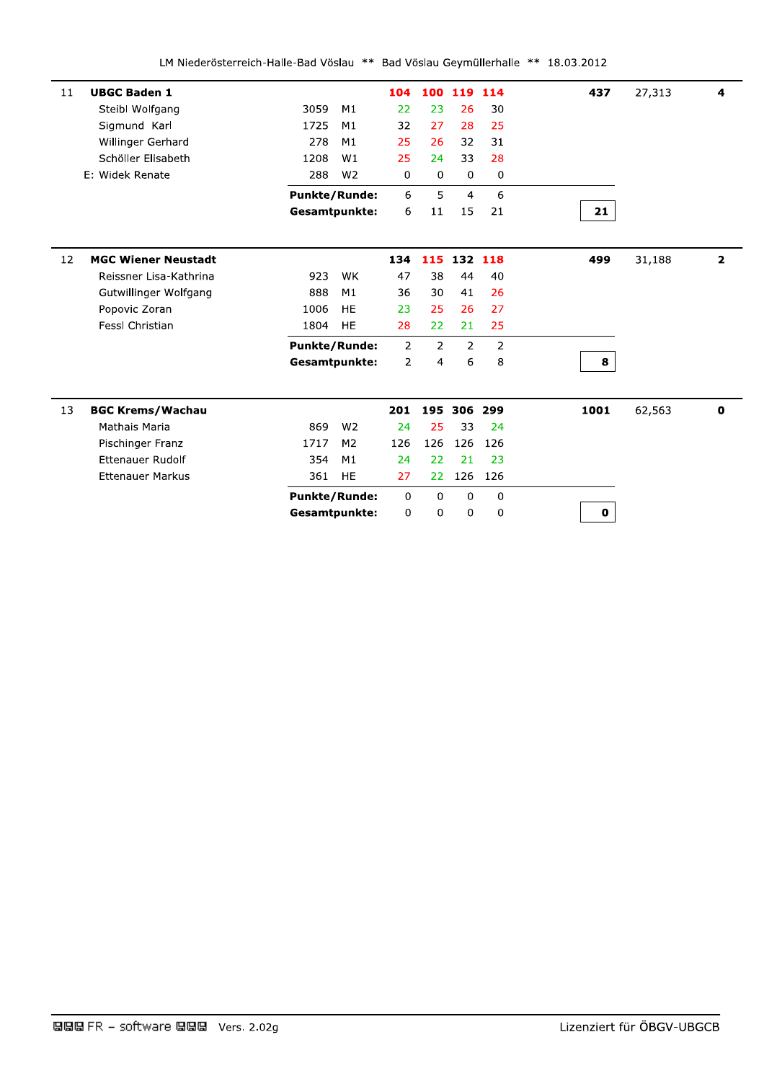| 11 | <b>UBGC Baden 1</b>        |      |                      | 104         | 100         | 119            | 114            | 437          | 27,313 | 4                       |
|----|----------------------------|------|----------------------|-------------|-------------|----------------|----------------|--------------|--------|-------------------------|
|    | Steibl Wolfgang            | 3059 | M1                   | 22          | 23          | 26             | 30             |              |        |                         |
|    | Sigmund Karl               | 1725 | M1                   | 32          | 27          | 28             | 25             |              |        |                         |
|    | Willinger Gerhard          | 278  | M1                   | 25          | 26          | 32             | 31             |              |        |                         |
|    | Schöller Elisabeth         | 1208 | W1                   | 25          | 24          | 33             | 28             |              |        |                         |
|    | E: Widek Renate            | 288  | W <sub>2</sub>       | 0           | 0           | $\Omega$       | $\mathbf 0$    |              |        |                         |
|    |                            |      | <b>Punkte/Runde:</b> | 6           | 5           | $\overline{4}$ | 6              |              |        |                         |
|    |                            |      | <b>Gesamtpunkte:</b> | 6           | 11          | 15             | 21             | 21           |        |                         |
|    |                            |      |                      |             |             |                |                |              |        |                         |
| 12 | <b>MGC Wiener Neustadt</b> |      |                      | 134         | 115         | 132 118        |                | 499          | 31,188 | $\overline{\mathbf{2}}$ |
|    | Reissner Lisa-Kathrina     | 923  | WK                   | 47          | 38          | 44             | 40             |              |        |                         |
|    | Gutwillinger Wolfgang      | 888  | M1                   | 36          | 30          | 41             | 26             |              |        |                         |
|    | Popovic Zoran              | 1006 | <b>HE</b>            | 23          | 25          | 26             | 27             |              |        |                         |
|    | <b>FessI Christian</b>     | 1804 | <b>HE</b>            | 28          | 22          | 21             | 25             |              |        |                         |
|    |                            |      | <b>Punkte/Runde:</b> | 2           | 2           | 2              | $\overline{2}$ |              |        |                         |
|    |                            |      | Gesamtpunkte:        | 2           | 4           | 6              | 8              | 8            |        |                         |
|    |                            |      |                      |             |             |                |                |              |        |                         |
| 13 | <b>BGC Krems/Wachau</b>    |      |                      | 201         | 195         | 306            | 299            | 1001         | 62,563 | $\mathbf 0$             |
|    | Mathais Maria              | 869  | W <sub>2</sub>       | 24          | 25          | 33             | 24             |              |        |                         |
|    | Pischinger Franz           | 1717 | M <sub>2</sub>       | 126         | 126         | 126            | 126            |              |        |                         |
|    | <b>Ettenauer Rudolf</b>    | 354  | M1                   | 24          | 22          | 21             | 23             |              |        |                         |
|    | <b>Ettenauer Markus</b>    | 361  | <b>HE</b>            | 27          | 22          | 126            | 126            |              |        |                         |
|    |                            |      | <b>Punkte/Runde:</b> | $\mathbf 0$ | $\mathbf 0$ | $\mathbf 0$    | $\mathbf{0}$   |              |        |                         |
|    |                            |      | Gesamtpunkte:        | 0           | 0           | $\mathbf 0$    | 0              | $\mathbf{0}$ |        |                         |
|    |                            |      |                      |             |             |                |                |              |        |                         |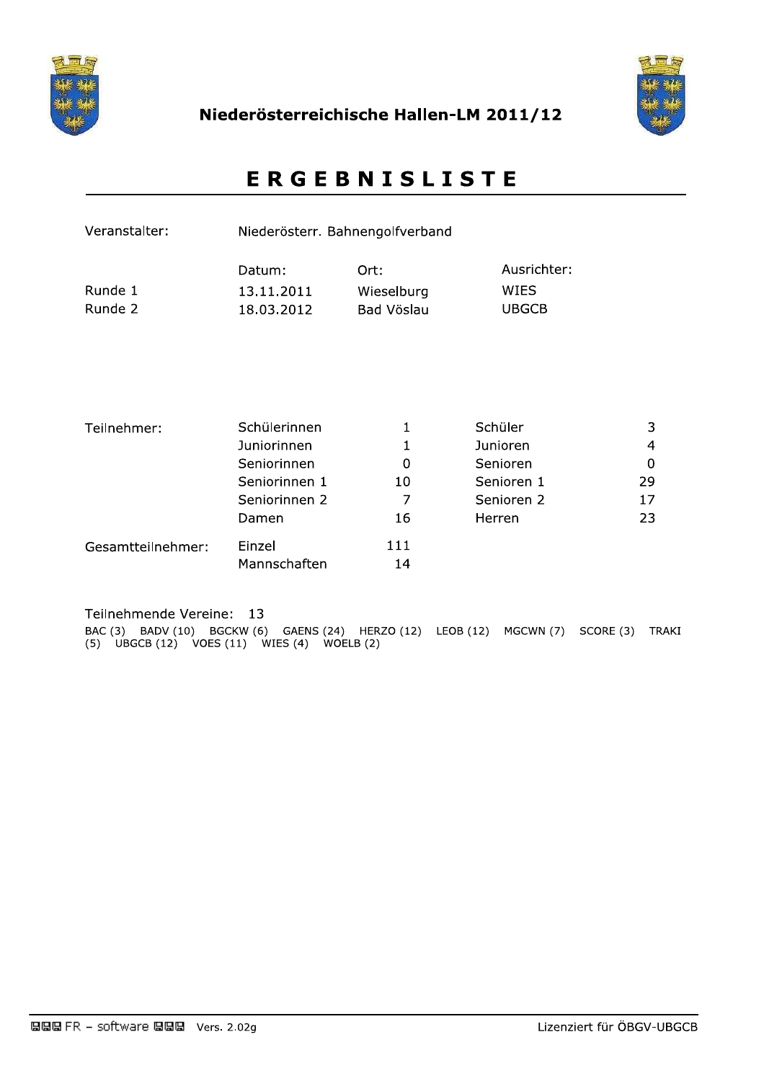



# **ERGEBNISLISTE**

| Veranstalter:      |                                    | Niederösterr. Bahnengolfverband  |                                     |             |
|--------------------|------------------------------------|----------------------------------|-------------------------------------|-------------|
| Runde 1<br>Runde 2 | Datum:<br>13.11.2011<br>18.03.2012 | Ort:<br>Wieselburg<br>Bad Vöslau | Ausrichter:<br>WIES<br><b>UBGCB</b> |             |
| Teilnehmer:        | Schülerinnen                       | 1                                | Schüler                             | 3           |
|                    | Juniorinnen                        |                                  | Junioren                            | 4           |
|                    | Seniorinnen                        | 0                                | Senioren                            | $\mathbf 0$ |
|                    | Seniorinnen 1                      | 10                               | Senioren 1                          | 29          |
|                    | Seniorinnen 2                      | 7                                | Senioren 2                          | 17          |
|                    | Damen                              | 16                               | Herren                              | 23          |
| Gesamtteilnehmer:  | Einzel<br>Mannschaften             | 111<br>14                        |                                     |             |

Teilnehmende Vereine: 13

BAC (3) BADV (10) BGCKW (6) GAENS (24) HERZO (12) LEOB (12) MGCWN (7) SCORE (3) TRAKI (5) UBGCB (12) VOES (11) WIES (4) WOELB (2)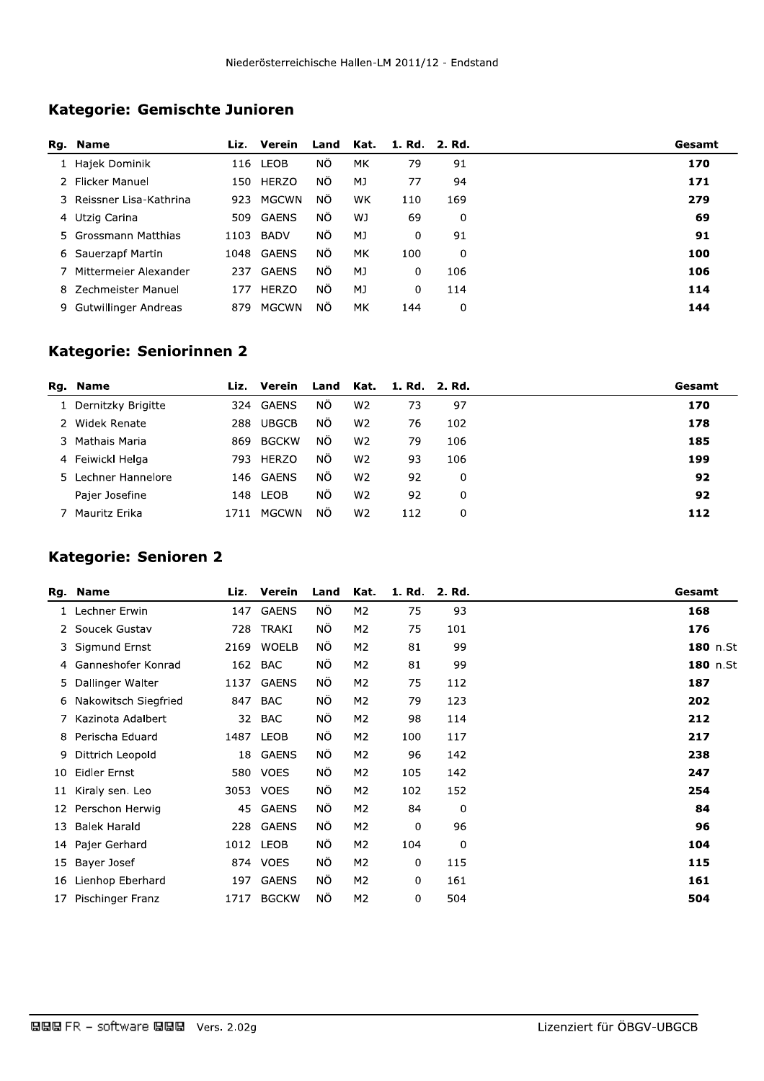# Kategorie: Gemischte Junioren

|   | Rg. Name                 | Liz. | Verein       | Land      | Kat. | 1. Rd. 2. Rd. |     | Gesamt |
|---|--------------------------|------|--------------|-----------|------|---------------|-----|--------|
|   | 1 Hajek Dominik          | 116  | LEOB         | ΝÖ        | МK   | 79            | 91  | 170    |
|   | 2 Flicker Manuel         | 150  | HERZO        | ΝÔ        | MJ   | 77            | 94  | 171    |
|   | 3 Reissner Lisa-Kathrina | 923  | MGCWN        | ΝÕ        | WK   | 110           | 169 | 279    |
|   | 4 Utzig Carina           | 509  | GAENS        | ΝÖ.       | WJ   | 69            | 0   | 69     |
|   | 5 Grossmann Matthias     | 1103 | BADV         | ΝÖ        | MJ   | 0             | 91  | 91     |
|   | 6 Sauerzapf Martin       | 1048 | <b>GAENS</b> | ΝÖ        | MK   | 100           | 0   | 100    |
|   | 7 Mittermeier Alexander  | 237  | GAENS        | <b>NO</b> | MJ   | 0             | 106 | 106    |
|   | 8 Zechmeister Manuel     | 177  | <b>HERZO</b> | ΝÖ        | MJ   | 0             | 114 | 114    |
| 9 | Gutwillinger Andreas     | 879  | <b>MGCWN</b> | ΝÖ        | МK   | 144           | 0   | 144    |

## Kategorie: Seniorinnen 2

| Rg. Name             | Liz. | Verein       | Land Kat. |                | 1. Rd. 2. Rd. |     | Gesamt |
|----------------------|------|--------------|-----------|----------------|---------------|-----|--------|
| 1 Dernitzky Brigitte |      | 324 GAENS    | NO.       | W <sub>2</sub> | 73            | 97  | 170    |
| 2 Widek Renate       | 288  | <b>UBGCB</b> | ΝÔ        | W <sub>2</sub> | 76            | 102 | 178    |
| 3 Mathais Maria      | 869  | <b>BGCKW</b> | ΝÔ        | W <sub>2</sub> | 79            | 106 | 185    |
| 4 Feiwickl Helga     | 793. | HERZO        | <b>NO</b> | W <sub>2</sub> | 93            | 106 | 199    |
| 5 Lechner Hannelore  |      | 146 GAENS    | ΝÕ        | W <sub>2</sub> | 92            | 0   | 92     |
| Pajer Josefine       | 148. | LEOB         | ΝÔ        | W <sub>2</sub> | 92            | 0   | 92     |
| Mauritz Erika        | 1711 | MGCWN        | <b>NO</b> | W <sub>2</sub> | 112           | 0   | 112    |

## Kategorie: Senioren 2

|    | Rg. Name             | Liz. | Verein       | Land | Kat.           | 1. Rd. | 2. Rd. | Gesamt   |
|----|----------------------|------|--------------|------|----------------|--------|--------|----------|
|    | Lechner Erwin        | 147  | <b>GAENS</b> | ΝÖ   | M <sub>2</sub> | 75     | 93     | 168      |
|    | 2 Soucek Gustav      | 728  | TRAKI        | ΝÖ   | M <sub>2</sub> | 75     | 101    | 176      |
|    | 3 Sigmund Ernst      | 2169 | <b>WOELB</b> | ΝÖ   | M <sub>2</sub> | 81     | 99     | 180 n.St |
|    | 4 Ganneshofer Konrad | 162  | BAC          | ΝÖ   | M <sub>2</sub> | 81     | 99     | 180 n.St |
| 5. | Dallinger Walter     | 1137 | <b>GAENS</b> | ΝÖ   | M <sub>2</sub> | 75     | 112    | 187      |
| 6  | Nakowitsch Siegfried | 847  | <b>BAC</b>   | ΝÖ   | M <sub>2</sub> | 79     | 123    | 202      |
|    | Kazinota Adalbert    | 32   | BAC          | ΝÖ   | M <sub>2</sub> | 98     | 114    | 212      |
| 8  | Perischa Eduard      | 1487 | LEOB         | ΝÖ   | M <sub>2</sub> | 100    | 117    | 217      |
| 9  | Dittrich Leopold     | 18   | <b>GAENS</b> | ΝÖ   | M <sub>2</sub> | 96     | 142    | 238      |
| 10 | Eidler Ernst         | 580  | <b>VOES</b>  | ΝÖ   | M <sub>2</sub> | 105    | 142    | 247      |
| 11 | Kiraly sen. Leo      |      | 3053 VOES    | ΝÖ   | M <sub>2</sub> | 102    | 152    | 254      |
| 12 | Perschon Herwig      | 45   | GAENS        | ΝÖ   | M <sub>2</sub> | 84     | 0      | 84       |
| 13 | <b>Balek Harald</b>  | 228  | <b>GAENS</b> | ΝÖ   | M <sub>2</sub> | 0      | 96     | 96       |
| 14 | Pajer Gerhard        |      | 1012 LEOB    | ΝÖ   | M <sub>2</sub> | 104    | 0      | 104      |
| 15 | Bayer Josef          | 874  | <b>VOES</b>  | ΝÖ   | M <sub>2</sub> | 0      | 115    | 115      |
| 16 | Lienhop Eberhard     | 197  | <b>GAENS</b> | ΝÖ   | M <sub>2</sub> | 0      | 161    | 161      |
| 17 | Pischinger Franz     | 1717 | <b>BGCKW</b> | ΝÖ   | M <sub>2</sub> | 0      | 504    | 504      |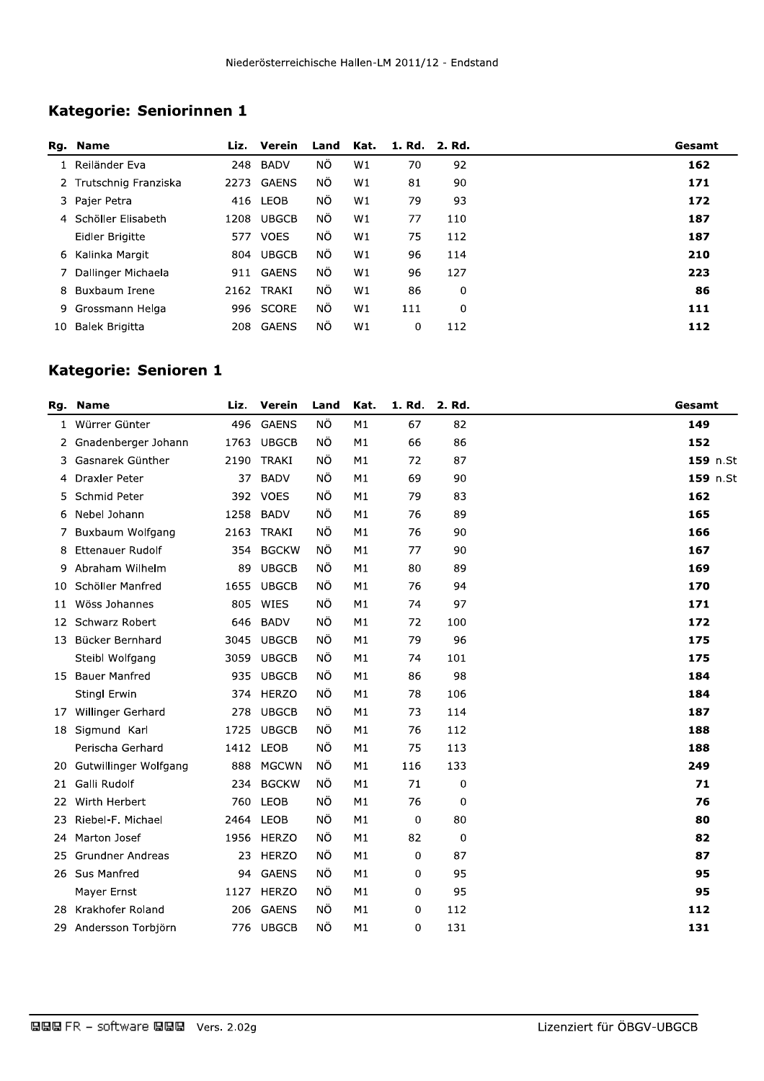# Kategorie: Seniorinnen 1

|    | Rg. Name               |      | Liz. Verein  | Land      | Kat. | 1. Rd. 2. Rd. |     | Gesamt |
|----|------------------------|------|--------------|-----------|------|---------------|-----|--------|
|    | 1 Reiländer Eva        | 248  | <b>BADV</b>  | ΝÖ        | W1   | 70            | 92  | 162    |
|    | 2 Trutschnig Franziska | 2273 | <b>GAENS</b> | ΝÔ        | W1   | 81            | 90  | 171    |
|    | 3 Pajer Petra          |      | 416 LEOB     | ΝÖ.       | W1   | 79            | 93  | 172    |
|    | 4 Schöller Elisabeth   | 1208 | <b>UBGCB</b> | ΝÔ        | W1   | 77            | 110 | 187    |
|    | Eidler Brigitte        | 577  | <b>VOES</b>  | ΝÔ        | W1   | 75            | 112 | 187    |
|    | 6 Kalinka Margit       |      | 804 UBGCB    | NO.       | W1   | 96            | 114 | 210    |
|    | 7 Dallinger Michaela   | 911  | GAENS        | ΝÔ        | W1   | 96            | 127 | 223    |
| 8. | Buxbaum Irene          | 2162 | TRAKI        | ΝÖ        | W1   | 86            | 0   | 86     |
|    | 9 Grossmann Helga      | 996  | <b>SCORE</b> | <b>NO</b> | W1   | 111           | 0   | 111    |
| 10 | Balek Brigitta         | 208  | GAENS        | ΝÔ        | W1   | 0             | 112 | 112    |

## Kategorie: Senioren 1

| Rg. | <b>Name</b>             | Liz. | Verein       | Land | Kat. | 1. Rd. | 2. Rd. | Gesamt   |
|-----|-------------------------|------|--------------|------|------|--------|--------|----------|
| 1   | Würrer Günter           | 496  | <b>GAENS</b> | NÖ   | M1   | 67     | 82     | 149      |
|     | 2 Gnadenberger Johann   |      | 1763 UBGCB   | ΝÖ   | M1   | 66     | 86     | 152      |
| 3.  | Gasnarek Günther        | 2190 | <b>TRAKI</b> | NÖ   | M1   | 72     | 87     | 159 n.St |
| 4   | Draxler Peter           | 37   | <b>BADV</b>  | ΝÖ   | M1   | 69     | 90     | 159 n.St |
| 5   | Schmid Peter            |      | 392 VOES     | ΝÖ   | M1   | 79     | 83     | 162      |
| 6   | Nebel Johann            | 1258 | <b>BADV</b>  | ΝÖ   | M1   | 76     | 89     | 165      |
| 7.  | Buxbaum Wolfgang        | 2163 | TRAKI        | NÖ   | M1   | 76     | 90     | 166      |
| 8   | <b>Ettenauer Rudolf</b> | 354  | <b>BGCKW</b> | ΝÖ   | M1   | 77     | 90     | 167      |
| 9   | Abraham Wilhelm         | 89   | <b>UBGCB</b> | NÖ   | M1   | 80     | 89     | 169      |
| 10  | Schöller Manfred        | 1655 | <b>UBGCB</b> | ΝÖ   | M1   | 76     | 94     | 170      |
| 11  | Wöss Johannes           | 805  | WIES         | ΝÖ   | M1   | 74     | 97     | 171      |
| 12  | Schwarz Robert          |      | 646 BADV     | ΝÖ   | M1   | 72     | 100    | 172      |
| 13  | Bücker Bernhard         | 3045 | <b>UBGCB</b> | ΝÖ   | M1   | 79     | 96     | 175      |
|     | Steibl Wolfgang         | 3059 | <b>UBGCB</b> | ΝÖ   | M1   | 74     | 101    | 175      |
| 15  | <b>Bauer Manfred</b>    | 935  | <b>UBGCB</b> | ΝÖ   | M1   | 86     | 98     | 184      |
|     | Stingl Erwin            |      | 374 HERZO    | ΝÖ   | M1   | 78     | 106    | 184      |
| 17  | Willinger Gerhard       | 278  | <b>UBGCB</b> | ΝÖ   | M1   | 73     | 114    | 187      |
| 18  | Sigmund Karl            | 1725 | <b>UBGCB</b> | ΝÖ   | M1   | 76     | 112    | 188      |
|     | Perischa Gerhard        | 1412 | <b>LEOB</b>  | ΝÖ   | M1   | 75     | 113    | 188      |
| 20  | Gutwillinger Wolfgang   | 888  | <b>MGCWN</b> | ΝÖ   | M1   | 116    | 133    | 249      |
| 21  | Galli Rudolf            | 234  | <b>BGCKW</b> | ΝÖ   | M1   | 71     | 0      | 71       |
| 22  | Wirth Herbert           | 760  | LEOB         | ΝÖ   | M1   | 76     | 0      | 76       |
| 23. | Riebel-F. Michael       |      | 2464 LEOB    | ΝÖ   | M1   | 0      | 80     | 80       |
| 24  | Marton Josef            |      | 1956 HERZO   | ΝÖ   | M1   | 82     | 0      | 82       |
| 25  | <b>Grundner Andreas</b> | 23   | HERZO        | ΝÖ   | M1   | 0      | 87     | 87       |
|     | 26 Sus Manfred          | 94   | <b>GAENS</b> | ΝÖ   | M1   | 0      | 95     | 95       |
|     | Mayer Ernst             | 1127 | HERZO        | ΝÖ   | M1   | 0      | 95     | 95       |
| 28. | Krakhofer Roland        | 206  | <b>GAENS</b> | ΝÖ   | M1   | 0      | 112    | 112      |
|     | 29 Andersson Torbjörn   |      | 776 UBGCB    | ΝÖ   | M1   | 0      | 131    | 131      |
|     |                         |      |              |      |      |        |        |          |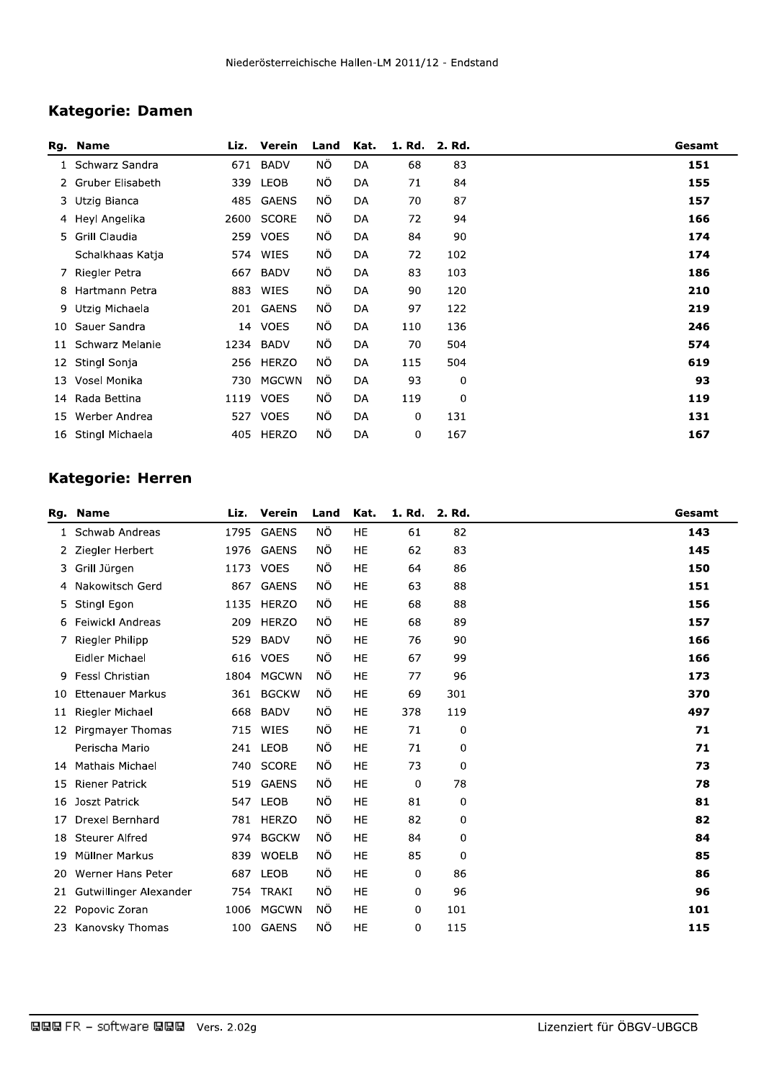# Kategorie: Damen

|              | Rg. Name         | Liz. | Verein       | Land | Kat. | 1. Rd. | 2. Rd. | Gesamt |
|--------------|------------------|------|--------------|------|------|--------|--------|--------|
| $\mathbf{1}$ | Schwarz Sandra   | 671  | <b>BADV</b>  | ΝÖ   | DA   | 68     | 83     | 151    |
| 2            | Gruber Elisabeth | 339  | <b>LEOB</b>  | ΝÖ   | DA   | 71     | 84     | 155    |
|              | 3 Utzig Bianca   | 485  | <b>GAENS</b> | ΝÖ.  | DA   | 70     | 87     | 157    |
|              | 4 Heyl Angelika  | 2600 | SCORE        | ΝÖ   | DA   | 72     | 94     | 166    |
|              | 5 Grill Claudia  | 259  | <b>VOES</b>  | ΝÖ   | DA   | 84     | 90     | 174    |
|              | Schalkhaas Katja | 574  | WIES         | ΝÖ.  | DA   | 72     | 102    | 174    |
|              | 7 Riegler Petra  | 667  | <b>BADV</b>  | ΝÖ   | DA   | 83     | 103    | 186    |
| 8            | Hartmann Petra   | 883  | WIES         | ΝÖ   | DA   | 90     | 120    | 210    |
| 9            | Utzig Michaela   | 201  | GAENS        | ΝÖ.  | DA   | 97     | 122    | 219    |
| 10           | Sauer Sandra     | 14   | <b>VOES</b>  | ΝÔ   | DA   | 110    | 136    | 246    |
| 11           | Schwarz Melanie  | 1234 | <b>BADV</b>  | ΝÔ   | DA   | 70     | 504    | 574    |
| 12           | Stingl Sonja     | 256  | <b>HERZO</b> | ΝÖ.  | DA   | 115    | 504    | 619    |
| 13           | Vosel Monika     | 730  | <b>MGCWN</b> | ΝÔ   | DA   | 93     | 0      | 93     |
| 14           | Rada Bettina     | 1119 | <b>VOES</b>  | ΝÖ   | DA   | 119    | 0      | 119    |
| 15           | Werber Andrea    | 527  | <b>VOES</b>  | ΝÖ   | DA   | 0      | 131    | 131    |
| 16           | Stingl Michaela  | 405  | HERZO        | ΝÖ   | DA   | 0      | 167    | 167    |

# Kategorie: Herren

| Rg. | <b>Name</b>             | Liz. | Verein       | Land | Kat.      | 1. Rd. | 2. Rd. | Gesamt |
|-----|-------------------------|------|--------------|------|-----------|--------|--------|--------|
| 1   | Schwab Andreas          | 1795 | <b>GAENS</b> | ΝÖ   | HE        | 61     | 82     | 143    |
| 2.  | Ziegler Herbert         | 1976 | <b>GAENS</b> | ΝÖ   | HE        | 62     | 83     | 145    |
| 3.  | Grill Jürgen            | 1173 | <b>VOES</b>  | ΝÖ   | HE        | 64     | 86     | 150    |
| 4   | Nakowitsch Gerd         | 867  | <b>GAENS</b> | ΝÖ   | HE        | 63     | 88     | 151    |
| 5.  | Stingl Egon             | 1135 | <b>HERZO</b> | ΝÖ   | HE        | 68     | 88     | 156    |
| 6   | <b>Feiwickl Andreas</b> | 209  | <b>HERZO</b> | ΝÖ   | <b>HE</b> | 68     | 89     | 157    |
|     | Riegler Philipp         | 529  | <b>BADV</b>  | ΝÖ   | HE        | 76     | 90     | 166    |
|     | Eidler Michael          | 616  | <b>VOES</b>  | ΝÖ   | <b>HE</b> | 67     | 99     | 166    |
| 9   | <b>FessI Christian</b>  | 1804 | <b>MGCWN</b> | ΝÔ   | HE        | 77     | 96     | 173    |
| 10  | <b>Ettenauer Markus</b> | 361  | <b>BGCKW</b> | ΝÖ   | HE        | 69     | 301    | 370    |
| 11  | Riegler Michael         | 668  | <b>BADV</b>  | ΝÖ   | HE        | 378    | 119    | 497    |
| 12  | Pirgmayer Thomas        | 715  | WIES         | ΝÖ   | HE        | 71     | 0      | 71     |
|     | Perischa Mario          | 241  | LEOB         | ΝÖ   | HE        | 71     | 0      | 71     |
| 14  | <b>Mathais Michael</b>  | 740  | <b>SCORE</b> | ΝÖ   | HE        | 73     | 0      | 73     |
| 15  | <b>Riener Patrick</b>   | 519  | <b>GAENS</b> | ΝÖ   | HE        | 0      | 78     | 78     |
| 16  | <b>Joszt Patrick</b>    | 547  | LEOB         | ΝÖ   | <b>HE</b> | 81     | 0      | 81     |
| 17  | Drexel Bernhard         | 781  | HERZO        | ΝÖ   | HE        | 82     | 0      | 82     |
| 18  | <b>Steurer Alfred</b>   | 974  | <b>BGCKW</b> | ΝÖ   | HE        | 84     | 0      | 84     |
| 19  | Müllner Markus          | 839  | <b>WOELB</b> | ΝÖ   | HE        | 85     | 0      | 85     |
| 20  | Werner Hans Peter       | 687  | <b>LEOB</b>  | ΝÖ   | HE        | 0      | 86     | 86     |
| 21  | Gutwillinger Alexander  | 754  | <b>TRAKI</b> | ΝÖ   | HE        | 0      | 96     | 96     |
| 22  | Popovic Zoran           | 1006 | <b>MGCWN</b> | ΝÖ   | HE        | 0      | 101    | 101    |
| 23  | Kanovsky Thomas         | 100  | <b>GAENS</b> | ΝÖ   | HE        | 0      | 115    | 115    |
|     |                         |      |              |      |           |        |        |        |